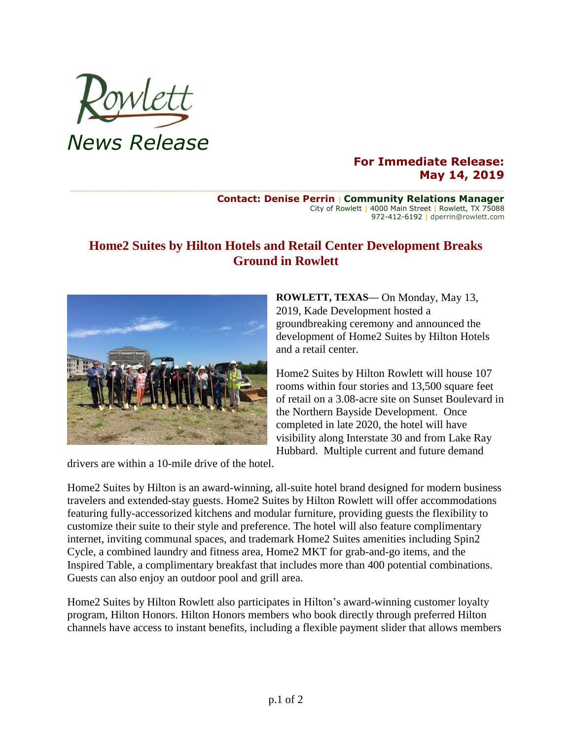

## **For Immediate Release: May 14, 2019**

#### **Contact: Denise Perrin** | **Community Relations Manager** City of Rowlett | 4000 Main Street | Rowlett, TX 75088 972-412-6192 | dperrin@rowlett.com

# **Home2 Suites by Hilton Hotels and Retail Center Development Breaks Ground in Rowlett**



**ROWLETT, TEXAS—** On Monday, May 13, 2019, Kade Development hosted a groundbreaking ceremony and announced the development of Home2 Suites by Hilton Hotels and a retail center.

Home2 Suites by Hilton Rowlett will house 107 rooms within four stories and 13,500 square feet of retail on a 3.08-acre site on Sunset Boulevard in the Northern Bayside Development. Once completed in late 2020, the hotel will have visibility along Interstate 30 and from Lake Ray Hubbard. Multiple current and future demand

drivers are within a 10-mile drive of the hotel.

Home2 Suites by Hilton is an award-winning, all-suite hotel brand designed for modern business travelers and extended-stay guests. Home2 Suites by Hilton Rowlett will offer accommodations featuring fully-accessorized kitchens and modular furniture, providing guests the flexibility to customize their suite to their style and preference. The hotel will also feature complimentary internet, inviting communal spaces, and trademark Home2 Suites amenities including Spin2 Cycle, a combined laundry and fitness area, Home2 MKT for grab-and-go items, and the Inspired Table, a complimentary breakfast that includes more than 400 potential combinations. Guests can also enjoy an outdoor pool and grill area.

Home2 Suites by Hilton Rowlett also participates in Hilton's award-winning customer loyalty program, Hilton Honors. Hilton Honors members who book directly through preferred Hilton channels have access to instant benefits, including a flexible payment slider that allows members